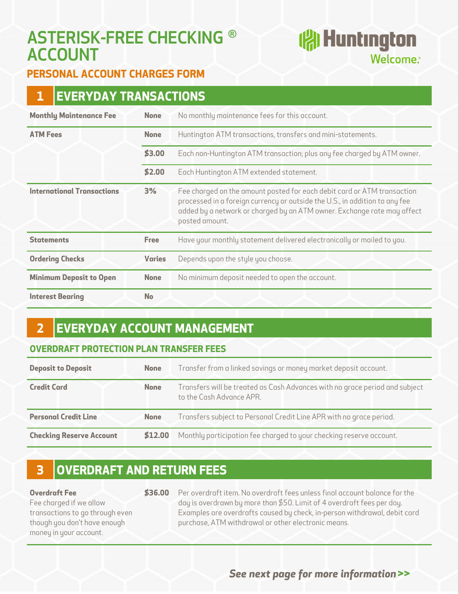# **ASTERISK-FREE CHECKING ® ACCOUNT**

# **(常Huntington** Welcome.<sup>®</sup>

### **PERSONAL ACCOUNT CHARGES FORM**

| <b>EVERYDAY TRANSACTIONS</b><br>1 |               |                                                                                                                                                                                                                                                     |
|-----------------------------------|---------------|-----------------------------------------------------------------------------------------------------------------------------------------------------------------------------------------------------------------------------------------------------|
| <b>Monthly Maintenance Fee</b>    | <b>None</b>   | No monthly maintenance fees for this account.                                                                                                                                                                                                       |
| <b>ATM Fees</b>                   | <b>None</b>   | Huntington ATM transactions, transfers and mini-statements.                                                                                                                                                                                         |
|                                   | \$3.00        | Each non-Huntington ATM transaction; plus any fee charged by ATM owner.                                                                                                                                                                             |
|                                   | \$2.00        | Each Huntington ATM extended statement.                                                                                                                                                                                                             |
| <b>International Transactions</b> | 3%            | Fee charged on the amount posted for each debit card or ATM transaction<br>processed in a foreign currency or outside the U.S., in addition to any fee<br>added by a network or charged by an ATM owner. Exchange rate may affect<br>posted amount. |
| <b>Statements</b>                 | <b>Free</b>   | Have your monthly statement delivered electronically or mailed to you.                                                                                                                                                                              |
| <b>Ordering Checks</b>            | <b>Varies</b> | Depends upon the style you choose.                                                                                                                                                                                                                  |
| <b>Minimum Deposit to Open</b>    | <b>None</b>   | No minimum deposit needed to open the account.                                                                                                                                                                                                      |
| <b>Interest Bearing</b>           | <b>No</b>     |                                                                                                                                                                                                                                                     |

## **2 EVERYDAY ACCOUNT MANAGEMENT**

#### **OVERDRAFT PROTECTION PLAN TRANSFER FEES**

| <b>Deposit to Deposit</b>       | <b>None</b> | Transfer from a linked savings or money market deposit account.                                         |
|---------------------------------|-------------|---------------------------------------------------------------------------------------------------------|
| <b>Credit Card</b>              | <b>None</b> | Transfers will be treated as Cash Advances with no grace period and subject<br>to the Cash Advance APR. |
| <b>Personal Credit Line</b>     | <b>None</b> | Transfers subject to Personal Credit Line APR with no grace period.                                     |
| <b>Checking Reserve Account</b> | \$12.00     | Monthly participation fee charged to your checking reserve account.                                     |

## **3 OVERDRAFT AND RETURN FEES**

| <b>Overdraft Fee</b> |  |
|----------------------|--|
|----------------------|--|

Fee charged if we allow transactions to go through even though you don't have enough money in your account.

**\$36.00** Per overdraft item. No overdraft fees unless final account balance for the day is overdrawn by more than \$50. Limit of 4 overdraft fees per day. Examples are overdrafts caused by check, in-person withdrawal, debit card purchase, ATM withdrawal or other electronic means.

#### *See next page for more information* **>>**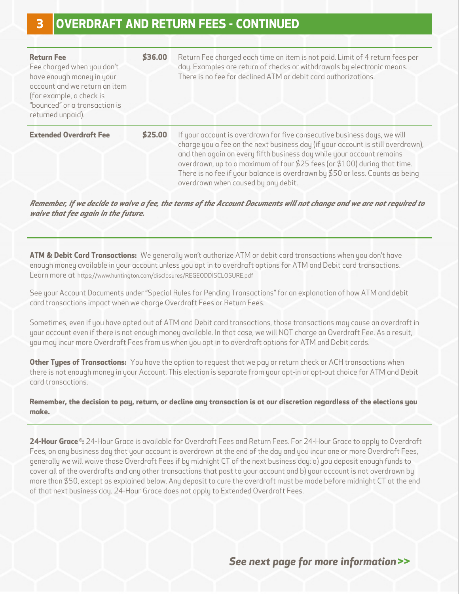| <b>Return Fee</b><br>Fee charged when you don't<br>have enough money in your<br>account and we return an item<br>(for example, a check is<br>"bounced" or a transaction is<br>returned unpaid). | \$36.00 | Return Fee charged each time an item is not paid. Limit of 4 return fees per<br>day. Examples are return of checks or withdrawals by electronic means.<br>There is no fee for declined ATM or debit card authorizations.                                                                                                                                                                                                                   |
|-------------------------------------------------------------------------------------------------------------------------------------------------------------------------------------------------|---------|--------------------------------------------------------------------------------------------------------------------------------------------------------------------------------------------------------------------------------------------------------------------------------------------------------------------------------------------------------------------------------------------------------------------------------------------|
| <b>Extended Overdraft Fee</b>                                                                                                                                                                   | \$25.00 | If your account is overdrawn for five consecutive business days, we will<br>charge you a fee on the next business day (if your account is still overdrawn),<br>and then again on every fifth business day while your account remains<br>overdrawn, up to a maximum of four \$25 fees (or \$100) during that time.<br>There is no fee if your balance is overdrawn by $$50$ or less. Counts as being<br>overdrawn when caused by any debit. |

*Remember, if we decide to waive a fee, the terms of the Account Documents will not change and we are not required to waive that fee again in the future.* 

**ATM & Debit Card Transactions:** We generally won't authorize ATM or debit card transactions when you don't have enough money available in your account unless you opt in to overdraft options for ATM and Debit card transactions. Learn more at [https://www.huntington.com/disclosures/REGEODDISCLOSURE.pd](https://www.huntington.com/disclosures/REGEODDISCLOSURE.pdf)f

See your Account Documents under "Special Rules for Pending Transactions" for an explanation of how ATM and debit card transactions impact when we charge Overdraft Fees or Return Fees.

Sometimes, even if you have opted out of ATM and Debit card transactions, those transactions may cause an overdraft in your account even if there is not enough money available. In that case, we will NOT charge an Overdraft Fee. As a result, you may incur more Overdraft Fees from us when you opt in to overdraft options for ATM and Debit cards.

**Other Types of Transactions:** You have the option to request that we pay or return check or ACH transactions when there is not enough money in your Account. This election is separate from your opt-in or opt-out choice for ATM and Debit card transactions.

**Remember, the decision to pay, return, or decline any transaction is at our discretion regardless of the elections you make.** 

**24-Hour Grace ® :** 24-Hour Grace is available for Overdraft Fees and Return Fees. For 24-Hour Grace to apply to Overdraft Fees, on any business day that your account is overdrawn at the end of the day and you incur one or more Overdraft Fees, generally we will waive those Overdraft Fees if by midnight CT of the next business day: a) you deposit enough funds to cover all of the overdrafts and any other transactions that post to your account and b) your account is not overdrawn by more than \$50, except as explained below. Any deposit to cure the overdraft must be made before midnight CT at the end of that next business day. 24-Hour Grace does not apply to Extended Overdraft Fees.

*See next page for more information* **>>**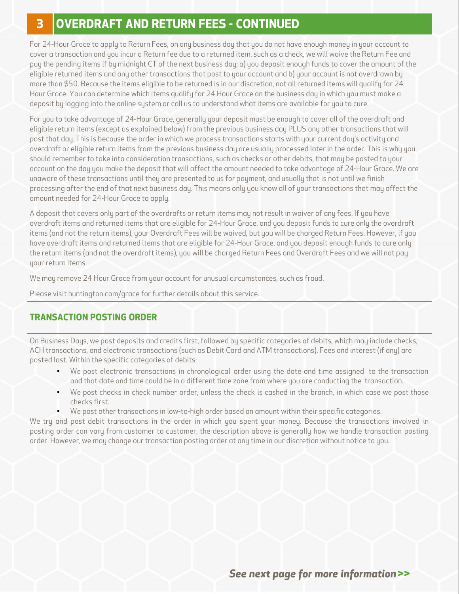### **3 OVERDRAFT AND RETURN FEES - CONTINUED**

For 24-Hour Grace to apply to Return Fees, on any business day that you do not have enough money in your account to cover a transaction and you incur a Return fee due to a returned item, such as a check, we will waive the Return Fee and pay the pending items if by midnight CT of the next business day: a) you deposit enough funds to cover the amount of the eligible returned items and any other transactions that post to your account and b) your account is not overdrawn by more than \$50. Because the items eligible to be returned is in our discretion, not all returned items will qualify for 24 Hour Grace. You can determine which items qualify for 24 Hour Grace on the business day in which you must make a deposit by logging into the online system or call us to understand what items are available for you to cure.

For you to take advantage of 24-Hour Grace, generally your deposit must be enough to cover all of the overdraft and eligible return items (except as explained below) from the previous business day PLUS any other transactions that will post that day. This is because the order in which we process transactions starts with your current day's activity and overdraft or eligible return items from the previous business day are usually processed later in the order. This is why you should remember to take into consideration transactions, such as checks or other debits, that may be posted to your account on the day you make the deposit that will affect the amount needed to take advantage of 24-Hour Grace. We are unaware of these transactions until they are presented to us for payment, and usually that is not until we finish processing after the end of that next business day. This means only you know all of your transactions that may affect the amount needed for 24-Hour Grace to apply.

A deposit that covers only part of the overdrafts or return items may not result in waiver of any fees. If you have overdraft items and returned items that are eligible for 24-Hour Grace, and you deposit funds to cure only the overdraft items (and not the return items), your Overdraft Fees will be waived, but you will be charged Return Fees. However, if you have overdraft items and returned items that are eligible for 24-Hour Grace, and you deposit enough funds to cure only the return items (and not the overdraft items), you will be charged Return Fees and Overdraft Fees and we will not pay your return items.

We may remove 24 Hour Grace from your account for unusual circumstances, such as fraud.

Please visit huntington.com/grace for further details about this service.

#### **TRANSACTION POSTING ORDER**

On Business Days, we post deposits and credits first, followed by specific categories of debits, which may include checks, ACH transactions, and electronic transactions (such as Debit Card and ATM transactions). Fees and interest (if any) are posted last. Within the specific categories of debits:

- • We post electronic transactions in chronological order using the date and time assigned to the transaction and that date and time could be in a different time zone from where you are conducting the transaction.
- • We post checks in check number order, unless the check is cashed in the branch, in which case we post those checks first.
- We post other transactions in low-to-high order based on amount within their specific categories.

We try and post debit transactions in the order in which you spent your money. Because the transactions involved in posting order can vary from customer to customer, the description above is generally how we handle transaction posting order. However, we may change our transaction posting order at any time in our discretion without notice to you.

*See next page for more information* **>>**